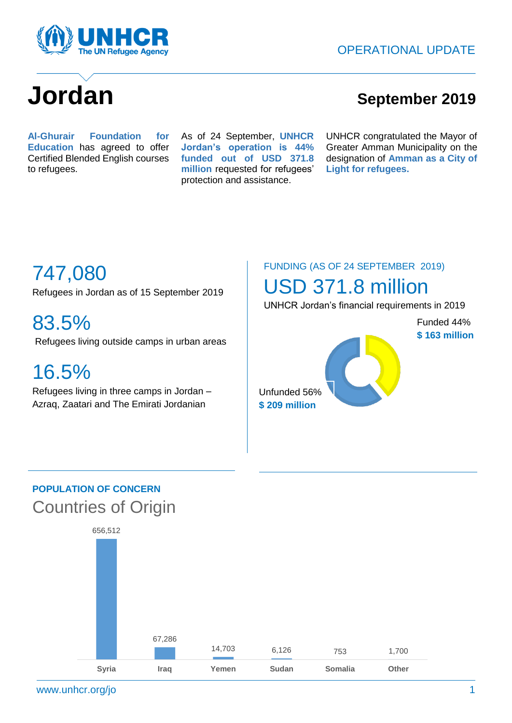

# **Jordan September** 2019

**202019 Al-Ghurair Foundation for 2019 Education** has agreed to offer Certified Blended English courses to refugees.

 As of 24 September, **UNHCR Jordan's operation is 44% funded out of USD 371.8 million** requested for refugees' protection and assistance.

UNHCR congratulated the Mayor of Greater Amman Municipality on the designation of **Amman as a City of Light for refugees.**

# 747,080

Refugees in Jordan as of 15 September 2019

83.5% Refugees living outside camps in urban areas

## 16.5%

Refugees living in three camps in Jordan – Azraq, Zaatari and The Emirati Jordanian

### FUNDING (AS OF 24 SEPTEMBER 2019)

### USD 371.8 million

UNHCR Jordan's financial requirements in 2019

Unfunded 56% **\$ 209 million** Funded 44% **\$ 163 million** 

### **POPULATION OF CONCERN** Countries of Origin

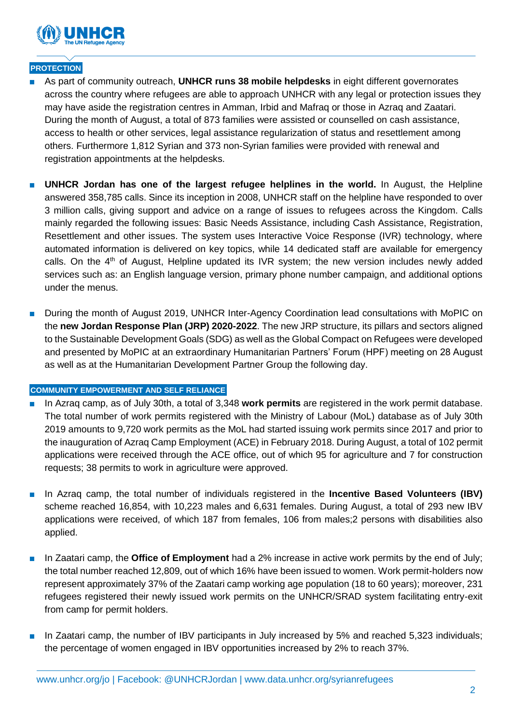

#### **PROTECTION**

- As part of community outreach, UNHCR runs 38 mobile helpdesks in eight different governorates across the country where refugees are able to approach UNHCR with any legal or protection issues they may have aside the registration centres in Amman, Irbid and Mafraq or those in Azraq and Zaatari. During the month of August, a total of 873 families were assisted or counselled on cash assistance, access to health or other services, legal assistance regularization of status and resettlement among others. Furthermore 1,812 Syrian and 373 non-Syrian families were provided with renewal and registration appointments at the helpdesks.
- **UNHCR Jordan has one of the largest refugee helplines in the world.** In August, the Helpline answered 358,785 calls. Since its inception in 2008, UNHCR staff on the helpline have responded to over 3 million calls, giving support and advice on a range of issues to refugees across the Kingdom. Calls mainly regarded the following issues: Basic Needs Assistance, including Cash Assistance, Registration, Resettlement and other issues. The system uses Interactive Voice Response (IVR) technology, where automated information is delivered on key topics, while 14 dedicated staff are available for emergency calls. On the 4<sup>th</sup> of August, Helpline updated its IVR system; the new version includes newly added services such as: an English language version, primary phone number campaign, and additional options under the menus.
- During the month of August 2019, UNHCR Inter-Agency Coordination lead consultations with MoPIC on the **new Jordan Response Plan (JRP) 2020-2022**. The new JRP structure, its pillars and sectors aligned to the Sustainable Development Goals (SDG) as well as the Global Compact on Refugees were developed and presented by MoPIC at an extraordinary Humanitarian Partners' Forum (HPF) meeting on 28 August as well as at the Humanitarian Development Partner Group the following day.

#### **COMMUNITY EMPOWERMENT AND SELF RELIANCE**

- In Azrag camp, as of July 30th, a total of 3,348 **work permits** are registered in the work permit database. The total number of work permits registered with the Ministry of Labour (MoL) database as of July 30th 2019 amounts to 9,720 work permits as the MoL had started issuing work permits since 2017 and prior to the inauguration of Azraq Camp Employment (ACE) in February 2018. During August, a total of 102 permit applications were received through the ACE office, out of which 95 for agriculture and 7 for construction requests; 38 permits to work in agriculture were approved.
- In Azraq camp, the total number of individuals registered in the **Incentive Based Volunteers (IBV)** scheme reached 16,854, with 10,223 males and 6,631 females. During August, a total of 293 new IBV applications were received, of which 187 from females, 106 from males;2 persons with disabilities also applied.
- In Zaatari camp, the **Office of Employment** had a 2% increase in active work permits by the end of July; the total number reached 12,809, out of which 16% have been issued to women. Work permit-holders now represent approximately 37% of the Zaatari camp working age population (18 to 60 years); moreover, 231 refugees registered their newly issued work permits on the UNHCR/SRAD system facilitating entry-exit from camp for permit holders.
- In Zaatari camp, the number of IBV participants in July increased by 5% and reached 5,323 individuals; the percentage of women engaged in IBV opportunities increased by 2% to reach 37%.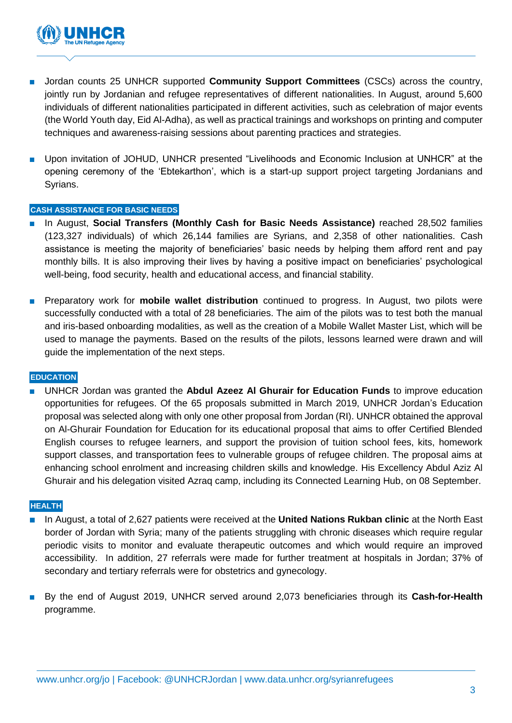

- Jordan counts 25 UNHCR supported **Community Support Committees** (CSCs) across the country, jointly run by Jordanian and refugee representatives of different nationalities. In August, around 5,600 individuals of different nationalities participated in different activities, such as celebration of major events (the World Youth day, Eid Al-Adha), as well as practical trainings and workshops on printing and computer techniques and awareness-raising sessions about parenting practices and strategies.
- Upon invitation of JOHUD, UNHCR presented "Livelihoods and Economic Inclusion at UNHCR" at the opening ceremony of the 'Ebtekarthon', which is a start-up support project targeting Jordanians and Syrians.

#### **CASH ASSISTANCE FOR BASIC NEEDS**

- In August, **Social Transfers (Monthly Cash for Basic Needs Assistance)** reached 28,502 families (123,327 individuals) of which 26,144 families are Syrians, and 2,358 of other nationalities. Cash assistance is meeting the majority of beneficiaries' basic needs by helping them afford rent and pay monthly bills. It is also improving their lives by having a positive impact on beneficiaries' psychological well-being, food security, health and educational access, and financial stability.
- Preparatory work for **mobile wallet distribution** continued to progress. In August, two pilots were successfully conducted with a total of 28 beneficiaries. The aim of the pilots was to test both the manual and iris-based onboarding modalities, as well as the creation of a Mobile Wallet Master List, which will be used to manage the payments. Based on the results of the pilots, lessons learned were drawn and will guide the implementation of the next steps.

#### **EDUCATION**

■ UNHCR Jordan was granted the **Abdul Azeez Al Ghurair for Education Funds** to improve education opportunities for refugees. Of the 65 proposals submitted in March 2019, UNHCR Jordan's Education proposal was selected along with only one other proposal from Jordan (RI). UNHCR obtained the approval on Al-Ghurair Foundation for Education for its educational proposal that aims to offer Certified Blended English courses to refugee learners, and support the provision of tuition school fees, kits, homework support classes, and transportation fees to vulnerable groups of refugee children. The proposal aims at enhancing school enrolment and increasing children skills and knowledge. His Excellency Abdul Aziz Al Ghurair and his delegation visited Azraq camp, including its Connected Learning Hub, on 08 September.

#### **HEALTH**

- In August, a total of 2,627 patients were received at the **United Nations Rukban clinic** at the North East border of Jordan with Syria; many of the patients struggling with chronic diseases which require regular periodic visits to monitor and evaluate therapeutic outcomes and which would require an improved accessibility. In addition, 27 referrals were made for further treatment at hospitals in Jordan; 37% of secondary and tertiary referrals were for obstetrics and gynecology.
- By the end of August 2019, UNHCR served around 2,073 beneficiaries through its **Cash-for-Health** programme.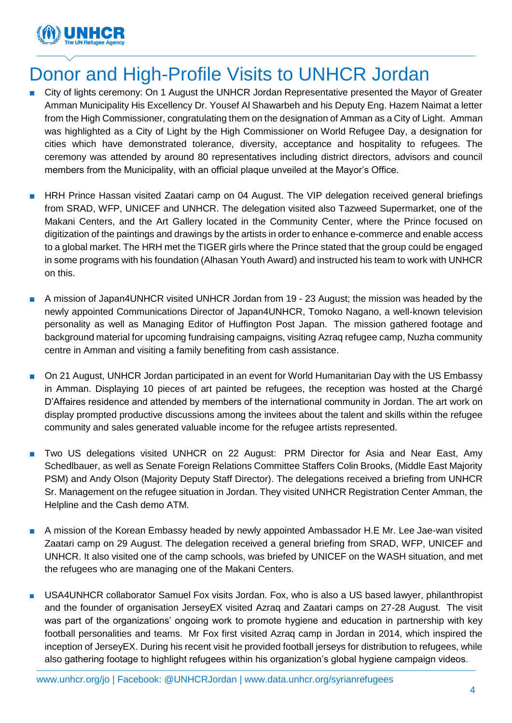

### Donor and High-Profile Visits to UNHCR Jordan

- City of lights ceremony: On 1 August the UNHCR Jordan Representative presented the Mayor of Greater Amman Municipality His Excellency Dr. Yousef Al Shawarbeh and his Deputy Eng. Hazem Naimat a letter from the High Commissioner, congratulating them on the designation of Amman as a City of Light. Amman was highlighted as a City of Light by the High Commissioner on World Refugee Day, a designation for cities which have demonstrated tolerance, diversity, acceptance and hospitality to refugees. The ceremony was attended by around 80 representatives including district directors, advisors and council members from the Municipality, with an official plaque unveiled at the Mayor's Office.
- HRH Prince Hassan visited Zaatari camp on 04 August. The VIP delegation received general briefings from SRAD, WFP, UNICEF and UNHCR. The delegation visited also Tazweed Supermarket, one of the Makani Centers, and the Art Gallery located in the Community Center, where the Prince focused on digitization of the paintings and drawings by the artists in order to enhance e-commerce and enable access to a global market. The HRH met the TIGER girls where the Prince stated that the group could be engaged in some programs with his foundation (Alhasan Youth Award) and instructed his team to work with UNHCR on this.
- A mission of Japan4UNHCR visited UNHCR Jordan from 19 23 August; the mission was headed by the newly appointed Communications Director of Japan4UNHCR, Tomoko Nagano, a well-known television personality as well as Managing Editor of Huffington Post Japan. The mission gathered footage and background material for upcoming fundraising campaigns, visiting Azraq refugee camp, Nuzha community centre in Amman and visiting a family benefiting from cash assistance.
- On 21 August, UNHCR Jordan participated in an event for World Humanitarian Day with the US Embassy in Amman. Displaying 10 pieces of art painted be refugees, the reception was hosted at the Chargé D'Affaires residence and attended by members of the international community in Jordan. The art work on display prompted productive discussions among the invitees about the talent and skills within the refugee community and sales generated valuable income for the refugee artists represented.
- Two US delegations visited UNHCR on 22 August: PRM Director for Asia and Near East, Amy Schedlbauer, as well as Senate Foreign Relations Committee Staffers Colin Brooks, (Middle East Majority PSM) and Andy Olson (Majority Deputy Staff Director). The delegations received a briefing from UNHCR Sr. Management on the refugee situation in Jordan. They visited UNHCR Registration Center Amman, the Helpline and the Cash demo ATM.
- A mission of the Korean Embassy headed by newly appointed Ambassador H.E Mr. Lee Jae-wan visited Zaatari camp on 29 August. The delegation received a general briefing from SRAD, WFP, UNICEF and UNHCR. It also visited one of the camp schools, was briefed by UNICEF on the WASH situation, and met the refugees who are managing one of the Makani Centers.
- USA4UNHCR collaborator Samuel Fox visits Jordan. Fox, who is also a US based lawyer, philanthropist and the founder of organisation JerseyEX visited Azraq and Zaatari camps on 27-28 August. The visit was part of the organizations' ongoing work to promote hygiene and education in partnership with key football personalities and teams. Mr Fox first visited Azraq camp in Jordan in 2014, which inspired the inception of JerseyEX. During his recent visit he provided football jerseys for distribution to refugees, while also gathering footage to highlight refugees within his organization's global hygiene campaign videos.